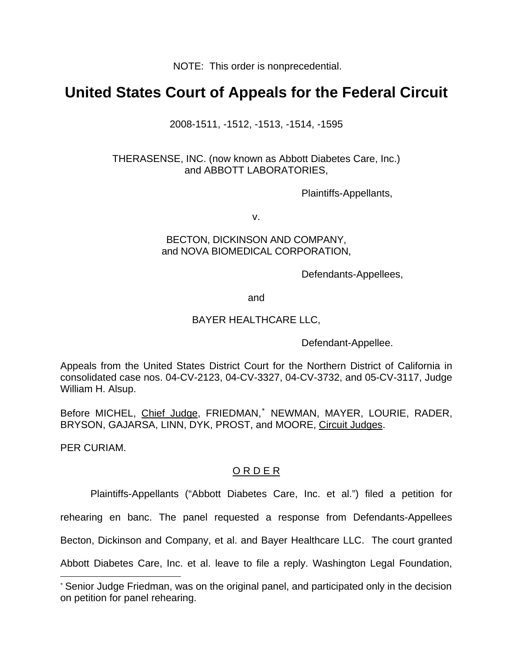NOTE: This order is nonprecedential.

## **United States Court of Appeals for the Federal Circuit**

2008-1511, -1512, -1513, -1514, -1595

THERASENSE, INC. (now known as Abbott Diabetes Care, Inc.) and ABBOTT LABORATORIES,

Plaintiffs-Appellants,

v.

## BECTON, DICKINSON AND COMPANY, and NOVA BIOMEDICAL CORPORATION,

Defendants-Appellees,

and

## BAYER HEALTHCARE LLC,

Defendant-Appellee.

Appeals from the United States District Court for the Northern District of California in consolidated case nos. 04-CV-2123, 04-CV-3327, 04-CV-3732, and 05-CV-3117, Judge William H. Alsup.

Before MICHEL, Chief Judge, FRIEDMAN,<sup>\*</sup> NEWMAN, MAYER, LOURIE, RADER, BRYSON, GAJARSA, LINN, DYK, PROST, and MOORE, Circuit Judges.

PER CURIAM.

 $\overline{a}$ 

## O R D E R

Plaintiffs-Appellants ("Abbott Diabetes Care, Inc. et al.") filed a petition for

rehearing en banc. The panel requested a response from Defendants-Appellees

Becton, Dickinson and Company, et al. and Bayer Healthcare LLC. The court granted

Abbott Diabetes Care, Inc. et al. leave to file a reply. Washington Legal Foundation,

<span id="page-0-0"></span><sup>∗</sup> Senior Judge Friedman, was on the original panel, and participated only in the decision on petition for panel rehearing.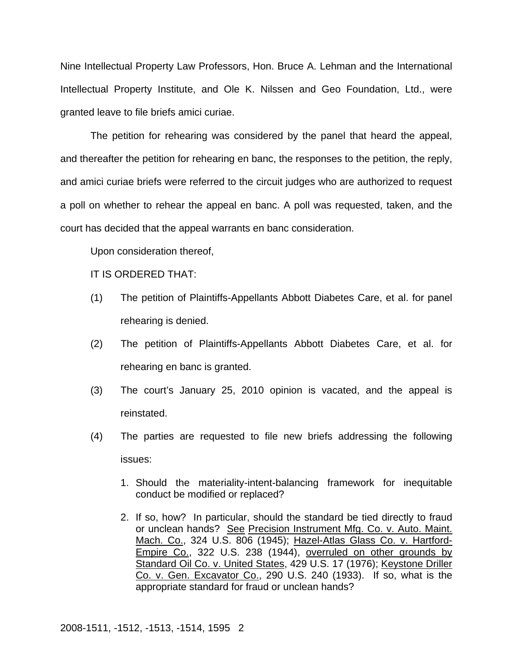Nine Intellectual Property Law Professors, Hon. Bruce A. Lehman and the International Intellectual Property Institute, and Ole K. Nilssen and Geo Foundation, Ltd., were granted leave to file briefs amici curiae.

The petition for rehearing was considered by the panel that heard the appeal, and thereafter the petition for rehearing en banc, the responses to the petition, the reply, and amici curiae briefs were referred to the circuit judges who are authorized to request a poll on whether to rehear the appeal en banc. A poll was requested, taken, and the court has decided that the appeal warrants en banc consideration.

Upon consideration thereof,

IT IS ORDERED THAT:

- (1) The petition of Plaintiffs-Appellants Abbott Diabetes Care, et al. for panel rehearing is denied.
- (2) The petition of Plaintiffs-Appellants Abbott Diabetes Care, et al. for rehearing en banc is granted.
- (3) The court's January 25, 2010 opinion is vacated, and the appeal is reinstated.
- (4) The parties are requested to file new briefs addressing the following issues:
	- 1. Should the materiality-intent-balancing framework for inequitable conduct be modified or replaced?
	- 2. If so, how? In particular, should the standard be tied directly to fraud or unclean hands? See Precision Instrument Mfg. Co. v. Auto. Maint. Mach. Co., 324 U.S. 806 (1945); Hazel-Atlas Glass Co. v. Hartford-Empire Co., 322 U.S. 238 (1944), overruled on other grounds by Standard Oil Co. v. United States, 429 U.S. 17 (1976); Keystone Driller Co. v. Gen. Excavator Co., 290 U.S. 240 (1933). If so, what is the appropriate standard for fraud or unclean hands?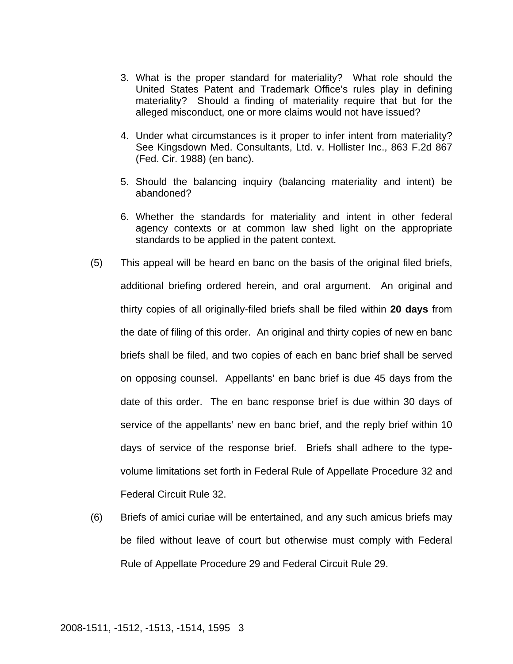- 3. What is the proper standard for materiality? What role should the United States Patent and Trademark Office's rules play in defining materiality? Should a finding of materiality require that but for the alleged misconduct, one or more claims would not have issued?
- 4. Under what circumstances is it proper to infer intent from materiality? See Kingsdown Med. Consultants, Ltd. v. Hollister Inc., 863 F.2d 867 (Fed. Cir. 1988) (en banc).
- 5. Should the balancing inquiry (balancing materiality and intent) be abandoned?
- 6. Whether the standards for materiality and intent in other federal agency contexts or at common law shed light on the appropriate standards to be applied in the patent context.
- (5) This appeal will be heard en banc on the basis of the original filed briefs, additional briefing ordered herein, and oral argument. An original and thirty copies of all originally-filed briefs shall be filed within **20 days** from the date of filing of this order. An original and thirty copies of new en banc briefs shall be filed, and two copies of each en banc brief shall be served on opposing counsel. Appellants' en banc brief is due 45 days from the date of this order. The en banc response brief is due within 30 days of service of the appellants' new en banc brief, and the reply brief within 10 days of service of the response brief.Briefs shall adhere to the typevolume limitations set forth in Federal Rule of Appellate Procedure 32 and Federal Circuit Rule 32.
- (6) Briefs of amici curiae will be entertained, and any such amicus briefs may be filed without leave of court but otherwise must comply with Federal Rule of Appellate Procedure 29 and Federal Circuit Rule 29.